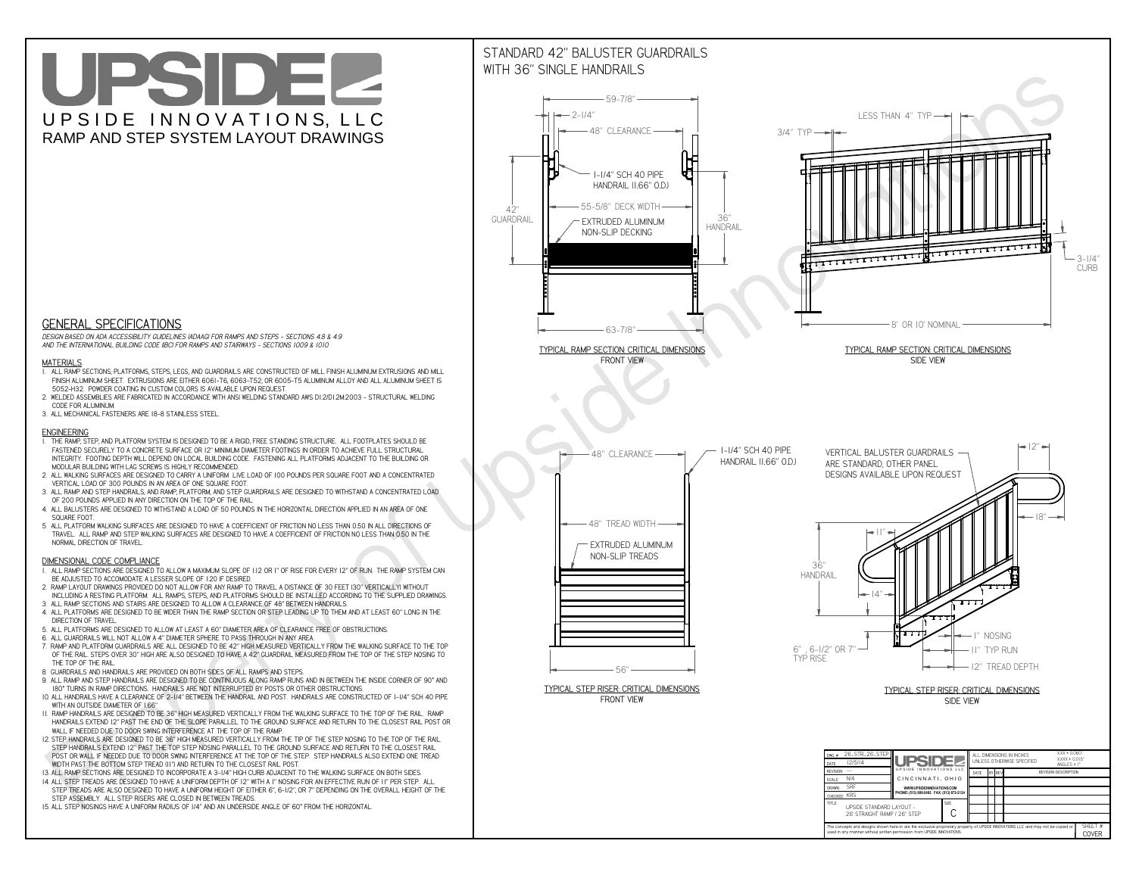# UPSIDEL UPSIDE INNOVATIONS, LLC RAMP AND STEP SYSTEM LAYOUT DRAWINGS



 *DESIGN BASED ON ADA ACCESSIBILITY GUIDELINES (ADAAG) FOR RAMPS AND STEPS - SECTIONS 4.8 & 4.9AND THE INTERNATIONAL BUILDING CODE (IBC) FOR RAMPS AND STAIRWAYS - SECTIONS 1009 & 1010*

#### **MATERIALS**

- **1. ALL RAMP SECTIONS, PLATFORMS, STEPS, LEGS, AND GUARDRAILS ARE CONSTRUCTED OF MILL FINISH ALUMINUM EXTRUSIONS AND MILL FINISH ALUMINUM SHEET. EXTRUSIONS ARE EITHER 6061-T6, 6063-T52, OR 6005-T5 ALUMINUM ALLOY AND ALL ALUMINUM SHEET IS 5052-H32. POWDER COATING IN CUSTOM COLORS IS AVAILABLE UPON REQUEST.**
- **2. WELDED ASSEMBLIES ARE FABRICATED IN ACCORDANCE WITH ANSI WELDING STANDARD AWS D1.2/D1.2M:2003 STRUCTURAL WELDING CODE FOR ALUMINUM.**
- **3. ALL MECHANICAL FASTENERS ARE 18-8 STAINLESS STEEL.**

#### **ENGINEERING**

- **1. THE RAMP, STEP, AND PLATFORM SYSTEM IS DESIGNED TO BE A RIGID, FREE STANDING STRUCTURE. ALL FOOTPLATES SHOULD BE FASTENED SECURELY TO A CONCRETE SURFACE OR 12" MINIMUM DIAMETER FOOTINGS IN ORDER TO ACHIEVE FULL STRUCTURAL INTEGRITY. FOOTING DEPTH WILL DEPEND ON LOCAL BUILDING CODE. FASTENING ALL PLATFORMS ADJACENT TO THE BUILDING OR MODULAR BUILDING WITH LAG SCREWS IS HIGHLY RECOMMENDED.**
- **2. ALL WALKING SURFACES ARE DESIGNED TO CARRY A UNIFORM LIVE LOAD OF 100 POUNDS PER SQUARE FOOT AND A CONCENTRATED VERTICAL LOAD OF 300 POUNDS IN AN AREA OF ONE SQUARE FOOT.**
- **3. ALL RAMP AND STEP HANDRAILS, AND RAMP, PLATFORM, AND STEP GUARDRAILS ARE DESIGNED TO WITHSTAND A CONCENTRATED LOAD OF 200 POUNDS APPLIED IN ANY DIRECTION ON THE TOP OF THE RAIL.**
- **4. ALL BALUSTERS ARE DESIGNED TO WITHSTAND A LOAD OF 50 POUNDS IN THE HORIZONTAL DIRECTION APPLIED IN AN AREA OF ONE SQUARE FOOT.**
- **5. ALL PLATFORM WALKING SURFACES ARE DESIGNED TO HAVE A COEFFICIENT OF FRICTION NO LESS THAN 0.50 IN ALL DIRECTIONS OF TRAVEL. ALL RAMP AND STEP WALKING SURFACES ARE DESIGNED TO HAVE A COEFFICIENT OF FRICTION NO LESS THAN 0.50 IN THE NORMAL DIRECTION OF TRAVEL.**

### **DIMENSIONAL CODE COMPLIANCE**



- **1. ALL RAMP SECTIONS ARE DESIGNED TO ALLOW A MAXIMUM SLOPE OF 1:12 OR 1" OF RISE FOR EVERY 12" OF RUN. THE RAMP SYSTEM CAN BE ADJUSTED TO ACCOMODATE A LESSER SLOPE OF 1:20 IF DESIRED.**
- **2. RAMP LAYOUT DRAWINGS PROVIDED DO NOT ALLOW FOR ANY RAMP TO TRAVEL A DISTANCE OF 30 FEET (30" VERTICALLY) WITHOUT INCLUDING A RESTING PLATFORM. ALL RAMPS, STEPS, AND PLATFORMS SHOULD BE INSTALLED ACCORDING TO THE SUPPLIED DRAWINGS.**
- **3. ALL RAMP SECTIONS AND STAIRS ARE DESIGNED TO ALLOW A CLEARANCE OF 48" BETWEEN HANDRAILS.**
- **4. ALL PLATFORMS ARE DESIGNED TO BE WIDER THAN THE RAMP SECTION OR STEP LEADING UP TO THEM AND AT LEAST 60" LONG IN THE DIRECTION OF TRAVEL.**
- **5. ALL PLATFORMS ARE DESIGNED TO ALLOW AT LEAST A 60" DIAMETER AREA OF CLEARANCE FREE OF OBSTRUCTIONS.**
- **6. ALL GUARDRAILS WILL NOT ALLOW A 4" DIAMETER SPHERE TO PASS THROUGH IN ANY AREA.**
- **7. RAMP AND PLATFORM GUARDRAILS ARE ALL DESIGNED TO BE 42" HIGH MEASURED VERTICALLY FROM THE WALKING SURFACE TO THE TOP OF THE RAIL. STEPS OVER 30" HIGH ARE ALSO DESIGNED TO HAVE A 42" GUARDRAIL MEASURED FROM THE TOP OF THE STEP NOSING TO THE TOP OF THE RAIL.**
- **8. GUARDRAILS AND HANDRAILS ARE PROVIDED ON BOTH SIDES OF ALL RAMPS AND STEPS.**
- **9. ALL RAMP AND STEP HANDRAILS ARE DESIGNED TO BE CONTINUOUS ALONG RAMP RUNS AND IN BETWEEN THE INSIDE CORNER OF 90° AND 180° TURNS IN RAMP DIRECTIONS. HANDRAILS ARE NOT INTERRUPTED BY POSTS OR OTHER OBSTRUCTIONS.**
- **10. ALL HANDRAILS HAVE A CLEARANCE OF 2-1/4" BETWEEN THE HANDRAIL AND POST. HANDRAILS ARE CONSTRUCTED OF 1-1/4" SCH 40 PIPE WITH AN OUTSIDE DIAMETER OF 1.66"**
- **11. RAMP HANDRAILS ARE DESIGNED TO BE 36" HIGH MEASURED VERTICALLY FROM THE WALKING SURFACE TO THE TOP OF THE RAIL. RAMP HANDRAILS EXTEND 12" PAST THE END OF THE SLOPE PARALLEL TO THE GROUND SURFACE AND RETURN TO THE CLOSEST RAIL POST OR WALL IF NEEDED DUE TO DOOR SWING INTERFERENCE AT THE TOP OF THE RAMP.**
- **12. STEP HANDRAILS ARE DESIGNED TO BE 36" HIGH MEASURED VERTICALLY FROM THE TIP OF THE STEP NOSING TO THE TOP OF THE RAIL. STEP HANDRAILS EXTEND 12" PAST THE TOP STEP NOSING PARALLEL TO THE GROUND SURFACE AND RETURN TO THE CLOSEST RAIL POST OR WALL IF NEEDED DUE TO DOOR SWING INTERFERENCE AT THE TOP OF THE STEP. STEP HANDRAILS ALSO EXTEND ONE TREAD**
- **WIDTH PAST THE BOTTOM STEP TREAD (11") AND RETURN TO THE CLOSEST RAIL POST.**
- **13. ALL RAMP SECTIONS ARE DESIGNED TO INCORPORATE A 3-1/4" HIGH CURB ADJACENT TO THE WALKING SURFACE ON BOTH SIDES.**
- **14. ALL STEP TREADS ARE DESIGNED TO HAVE A UNIFORM DEPTH OF 12" WITH A 1" NOSING FOR AN EFFECTIVE RUN OF 11" PER STEP. ALL STEP TREADS ARE ALSO DESIGNED TO HAVE A UNIFORM HEIGHT OF EITHER 6", 6-1/2", OR 7" DEPENDING ON THE OVERALL HEIGHT OF THE STEP ASSEMBLY. ALL STEP RISERS ARE CLOSED IN BETWEEN TREADS.**
- **15. ALL STEP NOSINGS HAVE A UNIFORM RADIUS OF 1/4" AND AN UNDERSIDE ANGLE OF 60° FROM THE HORIZONTAL.**

## STANDARD 42" BALUSTER GUARDRAILSWITH 36" SINGLE HANDRAILS